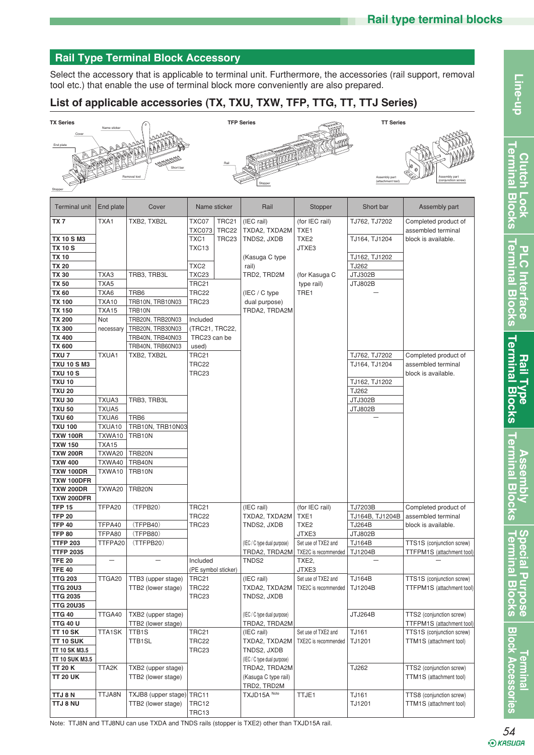**Clutch Lock Terminal Blocks**

Clutch Lock<br>**Terminal Bloc** 

 $\ddot{\delta}$ 

Line-up

**PLC Interface Terminal Blocks**

**Terminal Blocks PLC** Interface

**Rail Type Assembly<br>Terminal Blocks Terminal Blocks** 

**Assembly Terminal Blocks**

**Terminal Blocks Special Purpose**

**Special Purpose**<br>Terminal Blocks

**Terminal Blocks**

Line-up<br>Blocksessories | Terminal Block Accesses Access Access | State | Blocks | Terminal Blocks | Terminal Blocks | Terminal Blocks | Terminal Blocks | Terminal Blocks | Terminal Blocks | Terminal Blocks | Terminal Block

# **Rail Type Terminal Block Accessory**

Select the accessory that is applicable to terminal unit. Furthermore, the accessories (rail support, removal tool etc.) that enable the use of terminal block more conveniently are also prepared.

# **List of applicable accessories (TX, TXU, TXW, TFP, TTG, TT, TTJ Series)**

| <b>TX Series</b>               |                   |                           |                     |                   | <b>TFP Series</b>           |                      | <b>TT Series</b> |                           |
|--------------------------------|-------------------|---------------------------|---------------------|-------------------|-----------------------------|----------------------|------------------|---------------------------|
|                                | Name sticke       |                           |                     |                   |                             |                      |                  |                           |
|                                |                   |                           |                     |                   |                             |                      |                  |                           |
| End plate                      |                   |                           |                     |                   |                             |                      |                  |                           |
|                                |                   |                           |                     |                   |                             |                      |                  |                           |
|                                |                   |                           |                     |                   |                             |                      |                  |                           |
|                                |                   | Removal too               |                     |                   |                             |                      | Assembly part    | (conjunction scre         |
|                                |                   |                           |                     |                   | Stopper                     |                      | attachment too   |                           |
| Stopp                          |                   |                           |                     |                   |                             |                      |                  |                           |
| Terminal unit                  | End plate         | Cover                     | Name sticker        |                   | Rail                        | Stopper              | Short bar        | Assembly part             |
| TX 7                           | TXA1              | TXB2, TXB2L               | TXC07               | <b>TRC21</b>      | (IEC rail)                  | (for IEC rail)       | TJ762, TJ7202    | Completed product of      |
|                                |                   |                           | TXC073              | TRC22             | TXDA2, TXDA2M               | TXE <sub>1</sub>     |                  | assembled terminal        |
| <b>TX 10 S M3</b>              |                   |                           | TXC1                | TRC <sub>23</sub> | TNDS2, JXDB                 | TXE <sub>2</sub>     | TJ164, TJ1204    | block is available.       |
| <b>TX 10 S</b>                 |                   |                           | TXC13               |                   |                             | JTXE3                |                  |                           |
| <b>TX 10</b>                   |                   |                           |                     |                   | (Kasuga C type              |                      | TJ162, TJ1202    |                           |
| <b>TX 20</b>                   |                   |                           | TXC <sub>2</sub>    |                   | rail)                       |                      | TJ262            |                           |
| <b>TX 30</b>                   | TXA3              | TRB3, TRB3L               | TXC23               |                   | TRD2, TRD2M                 | (for Kasuga C        | JTJ302B          |                           |
| <b>TX 50</b>                   | TXA5              |                           | TRC21               |                   |                             | type rail)           | <b>JTJ802B</b>   |                           |
| TX 60                          | TXA6              | TRB <sub>6</sub>          | TRC22               |                   | (IEC / C type)              | TRE1                 |                  |                           |
| <b>TX 100</b>                  | <b>TXA10</b>      | TRB10N, TRB10N03          | TRC23               |                   | dual purpose)               |                      |                  |                           |
| <b>TX 150</b>                  | <b>TXA15</b>      | TRB10N                    |                     |                   | TRDA2, TRDA2M               |                      |                  |                           |
| <b>TX 200</b>                  | Not               | TRB20N, TRB20N03          | Included            |                   |                             |                      |                  |                           |
| <b>TX 300</b>                  | necessary         | TRB20N, TRB30N03          | (TRC21, TRC22,      |                   |                             |                      |                  |                           |
| <b>TX 400</b>                  |                   | TRB40N, TRB40N03          | TRC23 can be        |                   |                             |                      |                  |                           |
| <b>TX 600</b>                  |                   | TRB40N, TRB60N03          | used)               |                   |                             |                      |                  |                           |
| TXU <sub>7</sub>               | TXUA1             | TXB2, TXB2L               | TRC21               |                   |                             |                      | TJ762, TJ7202    | Completed product of      |
| <b>TXU 10 S M3</b>             |                   |                           | TRC22               |                   |                             |                      | TJ164, TJ1204    | assembled terminal        |
| <b>TXU 10 S</b>                |                   |                           | TRC23               |                   |                             |                      |                  | block is available.       |
| <b>TXU 10</b>                  |                   |                           |                     |                   |                             |                      | TJ162, TJ1202    |                           |
| <b>TXU 20</b>                  |                   |                           |                     |                   |                             |                      | TJ262            |                           |
| <b>TXU 30</b>                  | TXUA3             | TRB3, TRB3L               |                     |                   |                             |                      | JTJ302B          |                           |
| <b>TXU 50</b>                  | TXUA5             |                           |                     |                   |                             |                      | <b>JTJ802B</b>   |                           |
| <b>TXU 60</b>                  | TXUA6             | TRB <sub>6</sub>          |                     |                   |                             |                      |                  |                           |
| <b>TXU 100</b>                 | TXUA10            | TRB10N, TRB10N03          |                     |                   |                             |                      |                  |                           |
| <b>TXW 100R</b>                | TXWA10            | TRB10N                    |                     |                   |                             |                      |                  |                           |
| <b>TXW 150</b>                 | <b>TXA15</b>      |                           |                     |                   |                             |                      |                  |                           |
| <b>TXW 200R</b>                | TXWA20            | TRB20N                    |                     |                   |                             |                      |                  |                           |
| <b>TXW 400</b>                 | TXWA40            | TRB40N                    |                     |                   |                             |                      |                  |                           |
| <b>TXW 100DR</b><br>TXW 100DFR | TXWA10            | TRB10N                    |                     |                   |                             |                      |                  |                           |
| <b>TXW 200DR</b>               | TXWA20            | TRB20N                    |                     |                   |                             |                      |                  |                           |
| <b>TXW 200DFR</b>              |                   |                           |                     |                   |                             |                      |                  |                           |
| <b>TFP 15</b>                  | TFPA20            | (TFPB20)                  | <b>TRC21</b>        |                   | (IEC rail)                  | (for IEC rail)       | TJ7203B          | Completed product of      |
| <b>TFP 20</b>                  |                   |                           | TRC22               |                   | TXDA2, TXDA2M               | TXE <sub>1</sub>     | TJ164B, TJ1204B  | assembled terminal        |
| <b>TFP 40</b>                  | TFPA40            | (TFPB40)                  | TRC23               |                   | TNDS2, JXDB                 | TXE <sub>2</sub>     | <b>TJ264B</b>    | block is available.       |
| <b>TFP 80</b>                  | TFPA80            | (TFPB80)                  |                     |                   |                             | JTXE3                | JTJ802B          |                           |
| <b>TTFP 203</b>                | TTFPA20           | (TTFPB20)                 |                     |                   | (IEC / C type dual purpose) | Set use of TXE2 and  | <b>TJ164B</b>    | TTS1S (conjunction screw) |
| <b>TTFP 2035</b>               |                   |                           |                     |                   | TRDA2, TRDA2M               | TXE2C is recommended | TJ1204B          | TTFPM1S (attachment tool) |
| <b>TFE 20</b>                  | $\qquad \qquad -$ | $\overline{\phantom{0}}$  | Included            |                   | TNDS2                       | TXE2,                |                  |                           |
| <b>TFE 40</b>                  |                   |                           | (PE symbol sticker) |                   |                             | JTXE3                |                  |                           |
| <b>TTG 203</b>                 | TTGA20            | TTB3 (upper stage)        | TRC21               |                   | (IEC rail)                  | Set use of TXE2 and  | <b>TJ164B</b>    | TTS1S (conjunction screw) |
| <b>TTG 20U3</b>                |                   | TTB2 (lower stage)        | TRC22               |                   | TXDA2, TXDA2M               | TXE2C is recommended | TJ1204B          | TTFPM1S (attachment tool) |
| <b>TTG 2035</b>                |                   |                           | TRC23               |                   | TNDS2, JXDB                 |                      |                  |                           |
| <b>TTG 20U35</b>               |                   |                           |                     |                   |                             |                      |                  |                           |
| TTG 40                         | TTGA40            | TXB2 (upper stage)        |                     |                   | (IEC / C type dual purpose) |                      | JTJ264B          | TTS2 (conjunction screw)  |
| <b>TTG 40 U</b>                |                   | TTB2 (lower stage)        |                     |                   | TRDA2, TRDA2M               |                      |                  | TTFPM1S (attachment tool) |
| TT 10 SK                       | <b>TTA1SK</b>     | TTB1S                     | TRC21               |                   | (IEC rail)                  | Set use of TXE2 and  | TJ161            | TTS1S (conjunction screw) |
| TT 10 SUK                      |                   | <b>TTB1SL</b>             | <b>TRC22</b>        |                   | TXDA2, TXDA2M               | TXE2C is recommended | TJ1201           | TTM1S (attachment tool)   |
| TT 10 SK M3.5                  |                   |                           | TRC23               |                   | TNDS2, JXDB                 |                      |                  |                           |
| TT 10 SUK M3.5                 |                   |                           |                     |                   | (IEC / C type dual purpose) |                      |                  |                           |
| TT 20 K                        | TTA2K             | TXB2 (upper stage)        |                     |                   | TRDA2, TRDA2M               |                      | TJ262            | TTS2 (conjunction screw)  |
| <b>TT 20 UK</b>                |                   | TTB2 (lower stage)        |                     |                   | (Kasuga C type rail)        |                      |                  | TTM1S (attachment tool)   |
|                                |                   |                           |                     |                   | TRD2, TRD2M                 |                      |                  |                           |
| TTJ 8 N                        | TTJA8N            | TXJB8 (upper stage) TRC11 |                     |                   | TXJD15A Note                | TTJE1                | TJ161            | TTS8 (conjunction screw)  |
| TTJ 8 NU                       |                   | TTB2 (lower stage)        | TRC12               |                   |                             |                      | TJ1201           | TTM1S (attachment tool)   |
|                                |                   |                           | TRC13               |                   |                             |                      |                  |                           |

Note: TTJ8N and TTJ8NU can use TXDA and TNDS rails (stopper is TXE2) other than TXJD15A rail.

*<u><b>Aluminal*</u>

**Block Accessories**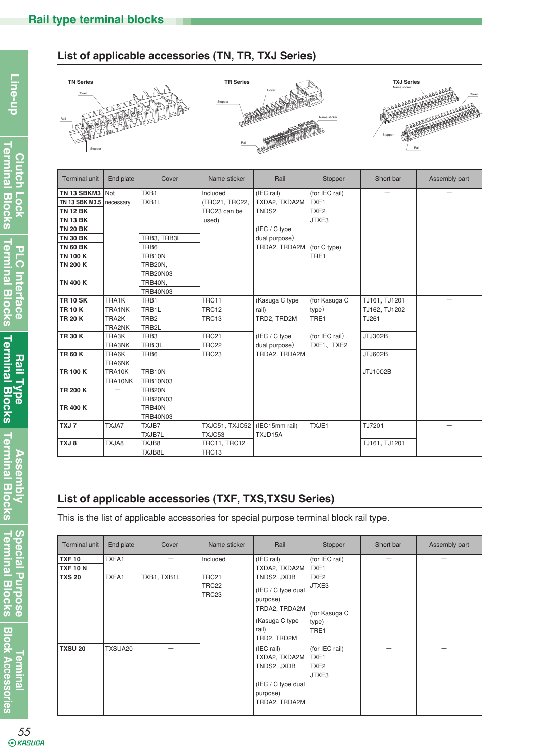# **List of applicable accessories (TN, TR, TXJ Series)**







| Terminal unit              | End plate | Cover              | Name sticker   | Rail                       | Stopper          | Short bar     | Assembly part |
|----------------------------|-----------|--------------------|----------------|----------------------------|------------------|---------------|---------------|
| TN 13 SBKM3                | Not       | TXB1               | Included       | (IEC rail)                 | (for IEC rail)   |               |               |
| TN 13 SBK M3.5   necessary |           | TXB <sub>1</sub> L | (TRC21, TRC22, | TXDA2, TXDA2M              | TXE <sub>1</sub> |               |               |
| <b>TN 12 BK</b>            |           |                    | TRC23 can be   | TNDS2                      | TXE <sub>2</sub> |               |               |
| <b>TN 13 BK</b>            |           |                    | used)          |                            | JTXE3            |               |               |
| <b>TN 20 BK</b>            |           |                    |                | (IEC / C type)             |                  |               |               |
| <b>TN 30 BK</b>            |           | TRB3, TRB3L        |                | dual purpose)              |                  |               |               |
| <b>TN 60 BK</b>            |           | TRB <sub>6</sub>   |                | TRDA2, TRDA2M (for C type) |                  |               |               |
| <b>TN 100 K</b>            |           | TRB10N             |                |                            | TRE1             |               |               |
| <b>TN 200 K</b>            |           | TRB20N,            |                |                            |                  |               |               |
|                            |           | <b>TRB20N03</b>    |                |                            |                  |               |               |
| <b>TN 400 K</b>            |           | TRB40N,            |                |                            |                  |               |               |
|                            |           | <b>TRB40N03</b>    |                |                            |                  |               |               |
| <b>TR 10 SK</b>            | TRA1K     | TRB1               | TRC11          | (Kasuga C type             | (for Kasuga C    | TJ161, TJ1201 |               |
| <b>TR 10 K</b>             | TRA1NK    | TRB <sub>1</sub> L | <b>TRC12</b>   | rail)                      | type)            | TJ162, TJ1202 |               |
| <b>TR 20 K</b>             | TRA2K     | TRB <sub>2</sub>   | TRC13          | TRD2, TRD2M                | TRE1             | TJ261         |               |
|                            | TRA2NK    | TRB2L              |                |                            |                  |               |               |
| <b>TR 30 K</b>             | TRA3K     | TRB3               | TRC21          | (IEC / C type              | (for IEC rail)   | JTJ302B       |               |
|                            | TRA3NK    | TRB <sub>3L</sub>  | <b>TRC22</b>   | dual purpose)              | TXE1、TXE2        |               |               |
| <b>TR 60 K</b>             | TRA6K     | TRB <sub>6</sub>   | TRC23          | TRDA2, TRDA2M              |                  | JTJ602B       |               |
|                            | TRA6NK    |                    |                |                            |                  |               |               |
| <b>TR 100 K</b>            | TRA10K    | TRB10N             |                |                            |                  | JTJ1002B      |               |
|                            | TRA10NK   | <b>TRB10N03</b>    |                |                            |                  |               |               |
| <b>TR 200 K</b>            |           | TRB20N             |                |                            |                  |               |               |
|                            |           | <b>TRB20N03</b>    |                |                            |                  |               |               |
| <b>TR 400 K</b>            |           | TRB40N             |                |                            |                  |               |               |
|                            |           | <b>TRB40N03</b>    |                |                            |                  |               |               |
| TXJ7                       | TXJA7     | TXJB7              | TXJC51, TXJC52 | (IEC15mm rail)             | TXJE1            | TJ7201        |               |
|                            |           | TXJB7L             | TXJC53         | TXJD15A                    |                  |               |               |
| TXJ8                       | TXJA8     | TXJB8              | TRC11, TRC12   |                            |                  | TJ161, TJ1201 |               |
|                            |           | TXJB8L             | TRC13          |                            |                  |               |               |

# **List of applicable accessories (TXF, TXS,TXSU Series)**

This is the list of applicable accessories for special purpose terminal block rail type.

| <b>Terminal unit</b> | End plate | Cover       | Name sticker                        | Rail                                                                                                       | Stopper                                                     | Short bar | Assembly part |
|----------------------|-----------|-------------|-------------------------------------|------------------------------------------------------------------------------------------------------------|-------------------------------------------------------------|-----------|---------------|
| <b>TXF 10</b>        | TXFA1     | –           | Included                            | (IEC rail)                                                                                                 | (for IEC rail)                                              | -         | -             |
| <b>TXF 10 N</b>      |           |             |                                     | TXDA2, TXDA2M   TXE1                                                                                       |                                                             |           |               |
| <b>TXS 20</b>        | TXFA1     | TXB1, TXB1L | TRC21<br>TRC22<br>TRC <sub>23</sub> | TNDS2, JXDB<br>$(IEC / C$ type dual<br>purpose)<br>TRDA2, TRDA2M<br>(Kasuga C type<br>rail)<br>TRD2, TRD2M | TXE <sub>2</sub><br>JTXE3<br>(for Kasuga C<br>type)<br>TRE1 |           |               |
| <b>TXSU 20</b>       | TXSUA20   |             |                                     | (IEC rail)<br>TXDA2, TXDA2M   TXE1<br>TNDS2, JXDB<br>$(IEC / C$ type dual<br>purpose)<br>TRDA2, TRDA2M     | (for IEC rail)<br>TXE <sub>2</sub><br>JTXE3                 |           |               |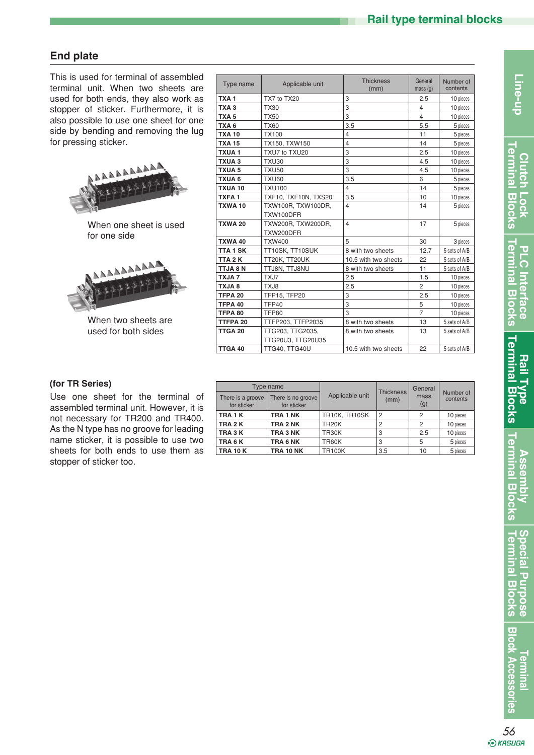# **End plate**

This is used for terminal of assembled terminal unit. When two sheets are used for both ends, they also work as stopper of sticker. Furthermore, it is also possible to use one sheet for one side by bending and removing the lug for pressing sticker.



When one sheet is used for one side



When two sheets are used for both sides

| Type name          | Applicable unit                       | <b>Thickness</b><br>(mm) | General<br>mass(g) | Number of<br>contents |
|--------------------|---------------------------------------|--------------------------|--------------------|-----------------------|
| TXA <sub>1</sub>   | TX7 to TX20                           | 3                        | 2.5                | 10 pieces             |
| TXA <sub>3</sub>   | <b>TX30</b>                           | 3                        | 4                  | 10 pieces             |
| TXA <sub>5</sub>   | <b>TX50</b>                           | 3                        | $\overline{4}$     | 10 pieces             |
| TXA <sub>6</sub>   | <b>TX60</b>                           | 3.5                      | 5.5                | 5 pieces              |
| <b>TXA 10</b>      | <b>TX100</b>                          | $\overline{\mathbf{4}}$  | 11                 | 5 pieces              |
| <b>TXA 15</b>      | TX150, TXW150                         | $\overline{\mathbf{4}}$  | 14                 | 5 pieces              |
| TXUA1              | TXU7 to TXU20                         | 3                        | 2.5                | 10 pieces             |
| TXUA <sub>3</sub>  | <b>TXU30</b>                          | 3                        | 4.5                | 10 pieces             |
| <b>TXUA 5</b>      | <b>TXU50</b>                          | 3                        | 4.5                | 10 pieces             |
| <b>TXUA6</b>       | <b>TXU60</b>                          | 3.5                      | 6                  | 5 pieces              |
| TXUA 10            | <b>TXU100</b>                         | $\overline{4}$           | 14                 | 5 pieces              |
| <b>TXFA1</b>       | TXF10, TXF10N, TXS20                  | 3.5                      | 10                 | 10 pieces             |
| TXWA 10            | TXW100R. TXW100DR.                    | $\overline{4}$           | 14                 | 5 pieces              |
|                    | TXW100DFR                             |                          |                    |                       |
| <b>TXWA 20</b>     | TXW200R, TXW200DR,                    | $\overline{4}$           | 17                 | 5 pieces              |
|                    | TXW200DFR                             |                          |                    |                       |
| <b>TXWA 40</b>     | <b>TXW400</b>                         | 5                        | 30                 | 3 pieces              |
| <b>TTA1SK</b>      | TT10SK, TT10SUK                       | 8 with two sheets        | 12.7               | 5 sets of A/B         |
| TTA <sub>2</sub> K | TT20K, TT20UK                         | 10.5 with two sheets     | 22                 | 5 sets of A/B         |
| TTJA 8 N           | TTJ8N, TTJ8NU                         | 8 with two sheets        | 11                 | 5 sets of A/B         |
| <b>TXJA7</b>       | TXJ7                                  | 2.5                      | 1.5                | 10 pieces             |
| <b>8 ALXT</b>      | TXJ8                                  | 2.5                      | 2                  | 10 pieces             |
| TFPA <sub>20</sub> | <b>TFP15, TFP20</b>                   | 3                        | 2.5                | 10 pieces             |
| TFPA 40            | TFP40                                 | 3                        | 5                  | 10 pieces             |
| TFPA 80            | TFP80                                 | 3                        | $\overline{7}$     | 10 pieces             |
| TTFPA 20           | TTFP203, TTFP2035                     | 8 with two sheets        | 13                 | 5 sets of A/B         |
| TTGA 20            | TTG203, TTG2035,<br>TTG20U3, TTG20U35 | 8 with two sheets        | 13                 | 5 sets of A/B         |
| TTGA 40            | TTG40. TTG40U                         | 10.5 with two sheets     | 22                 | 5 sets of A/B         |

#### (for TR Series)

Use one sheet for the terminal of assembled terminal unit. However, it is not necessary for TR200 and TR400. As the N type has no groove for leading name sticker, it is possible to use two sheets for both ends to use them as stopper of sticker too.

|                                  | Type name                         |                 |                          | General        | Number of<br>contents |  |
|----------------------------------|-----------------------------------|-----------------|--------------------------|----------------|-----------------------|--|
| There is a groove<br>for sticker | There is no groove<br>for sticker | Applicable unit | <b>Thickness</b><br>(mm) | mass<br>(g)    |                       |  |
| TRA 1 K                          | TRA 1 NK                          | TR10K, TR10SK   | 2                        | 2              | 10 pieces             |  |
| TRA <sub>2</sub> K               | TRA 2 NK                          | <b>TR20K</b>    |                          | $\mathfrak{p}$ | 10 pieces             |  |
| TRA <sub>3</sub> K               | TRA 3 NK                          | TR30K           | 3                        | 2.5            | 10 pieces             |  |
| TRA <sub>6</sub> K               | TRA 6 NK                          | <b>TR60K</b>    | 3                        | 5              | 5 pieces              |  |
| <b>TRA 10 K</b>                  | <b>TRA 10 NK</b>                  | <b>TR100K</b>   | 3.5                      | 10             | 5 pieces              |  |

**Assembly Terminal Blocks**

**Terminal Blocks Special Purpose**

**Special Purpose**<br>Terminal Blocks

*56*

*<u><b>Termina</u>* 

**Block Accessories**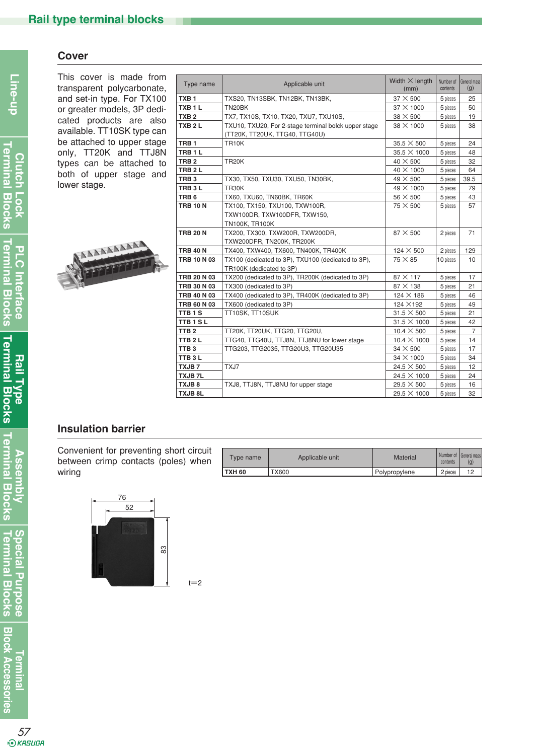#### **Cover**

This cover is made from transparent polycarbonate, and set-in type. For TX100 or greater models, 3P dedicated products are also available. TT10SK type can be attached to upper stage only, TT20K and TTJ8N types can be attached to both of upper stage and lower stage.



| Type name          | Applicable unit                                      | Width $\times$ length<br>(mm) | Number of<br>contents | General mass<br>(g) |
|--------------------|------------------------------------------------------|-------------------------------|-----------------------|---------------------|
| TXB <sub>1</sub>   | TXS20, TN13SBK, TN12BK, TN13BK,                      | $37 \times 500$               | 5 pieces              | 25                  |
| TXB <sub>1</sub> L | TN20BK                                               | 37 × 1000                     | 5 pieces              | 50                  |
| TXB <sub>2</sub>   | TX7, TX10S, TX10, TX20, TXU7, TXU10S,                | $38 \times 500$               | 5 pieces              | 19                  |
| TXB <sub>2</sub> L | TXU10, TXU20, For 2-stage terminal bolck upper stage | 38 X 1000                     | 5 pieces              | 38                  |
|                    | (TT20K, TT20UK, TTG40, TTG40U)                       |                               |                       |                     |
| TRB <sub>1</sub>   | <b>TR10K</b>                                         | $35.5 \times 500$             | 5 pieces              | 24                  |
| TRB <sub>1</sub> L |                                                      | 35.5 X 1000                   | 5 pieces              | 48                  |
| TRB <sub>2</sub>   | <b>TR20K</b>                                         | $40 \times 500$               | 5 pieces              | 32                  |
| TRB <sub>2</sub> L |                                                      | 40 X 1000                     | 5 pieces              | 64                  |
| TRB <sub>3</sub>   | TX30, TX50, TXU30, TXU50, TN30BK,                    | $49 \times 500$               | 5 pieces              | 39.5                |
| TRB <sub>3</sub> L | TR30K                                                | 49 X 1000                     | 5 pieces              | 79                  |
| TRB <sub>6</sub>   | TX60, TXU60, TN60BK, TR60K                           | $56 \times 500$               | 5 pieces              | 43                  |
| <b>TRB 10 N</b>    | TX100, TX150, TXU100, TXW100R,                       | 75 X 500                      | 5 pieces              | 57                  |
|                    | TXW100DR, TXW100DFR, TXW150,                         |                               |                       |                     |
|                    | <b>TN100K, TR100K</b>                                |                               |                       |                     |
| <b>TRB 20 N</b>    | TX200, TX300, TXW200R, TXW200DR,                     | $87 \times 500$               | 2 pieces              | 71                  |
|                    | TXW200DFR, TN200K, TR200K                            |                               |                       |                     |
| <b>TRB 40 N</b>    | TX400, TXW400, TX600, TN400K, TR400K                 | 124 × 500                     | 2 pieces              | 129                 |
| <b>TRB 10 N 03</b> | TX100 (dedicated to 3P), TXU100 (dedicated to 3P),   | $75 \times 85$                | 10 pieces             | 10                  |
|                    | TR100K (dedicated to 3P)                             |                               |                       |                     |
| TRB 20 N 03        | TX200 (dedicated to 3P), TR200K (dedicated to 3P)    | $87 \times 117$               | 5 pieces              | 17                  |
| <b>TRB 30 N 03</b> | TX300 (dedicated to 3P)                              | $87 \times 138$               | 5 pieces              | 21                  |
| TRB 40 N 03        | TX400 (dedicated to 3P), TR400K (dedicated to 3P)    | $124 \times 186$              | 5 pieces              | 46                  |
| TRB 60 N 03        | TX600 (dedicated to 3P)                              | 124 × 192                     | 5 pieces              | 49                  |
| TTB <sub>1</sub> S | TT10SK, TT10SUK                                      | $31.5 \times 500$             | 5 pieces              | 21                  |
| <b>TTB1SL</b>      |                                                      | $31.5 \times 1000$            | 5 pieces              | 42                  |
| TTB <sub>2</sub>   | TT20K, TT20UK, TTG20, TTG20U,                        | $10.4 \times 500$             | 5 pieces              | $\overline{7}$      |
| TTB <sub>2</sub> L | TTG40, TTG40U, TTJ8N, TTJ8NU for lower stage         | $10.4 \times 1000$            | 5 pieces              | 14                  |
| TTB <sub>3</sub>   | TTG203, TTG2035, TTG20U3, TTG20U35                   | $34 \times 500$               | 5 pieces              | 17                  |
| TTB3L              |                                                      | 34 X 1000                     | 5 pieces              | 34                  |
| TXJB7              | TXJ7                                                 | $24.5 \times 500$             | 5 pieces              | 12                  |
| <b>TXJB7L</b>      |                                                      | $24.5 \times 1000$            | 5 pieces              | 24                  |
| TXJB8              | TXJ8, TTJ8N, TTJ8NU for upper stage                  | 29.5 $\times$ 500             | 5 pieces              | 16                  |
| <b>TXJB 8L</b>     |                                                      | 29.5 X 1000                   | 5 pieces              | 32                  |

#### **Insulation barrier**

Convenient for preventing short circuit between crimp contacts (poles) when wiring



| Type name     | Applicable unit | <b>Material</b> | contents | Number of I General mass<br>(g) |
|---------------|-----------------|-----------------|----------|---------------------------------|
| <b>TXH 60</b> | TX600           | Polypropylene   | 2 pieces | 10                              |

 $t=2$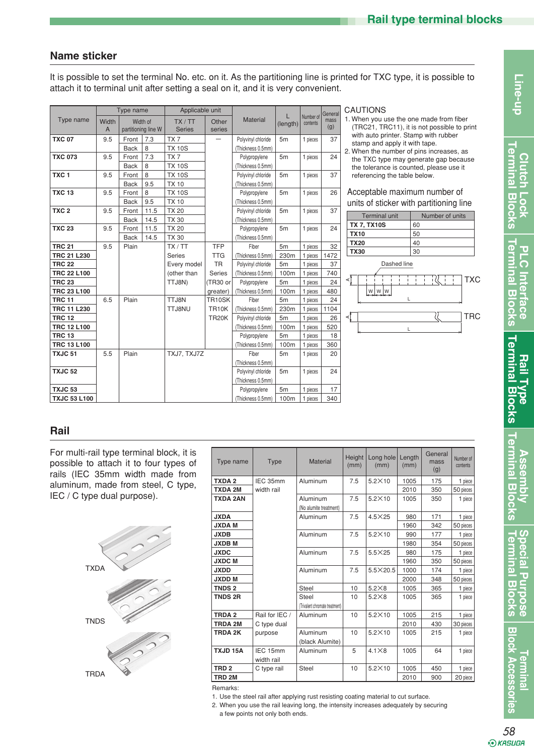# **Name sticker**

It is possible to set the terminal No. etc. on it. As the partitioning line is printed for TXC type, it is possible to attach it to terminal unit after setting a seal on it, and it is very convenient.

|                     |            | Type name   |                                 | Applicable unit          |                 |                    |                |                       | General     |
|---------------------|------------|-------------|---------------------------------|--------------------------|-----------------|--------------------|----------------|-----------------------|-------------|
| Type name           | Width<br>A |             | Width of<br>partitioning line W | TX / TT<br><b>Series</b> | Other<br>series | <b>Material</b>    | (length)       | Number of<br>contents | mass<br>(g) |
| <b>TXC 07</b>       | 9.5        | Front       | 7.3                             | TX7                      |                 | Polyvinyl chloride | 5 <sub>m</sub> | 1 pieces              | 37          |
|                     |            | <b>Back</b> | 8                               | <b>TX 10S</b>            |                 | (Thickness 0.5mm)  |                |                       |             |
| <b>TXC 073</b>      | 9.5        | Front       | 7.3                             | TX7                      |                 | Polypropylene      | 5 <sub>m</sub> | 1 pieces              | 24          |
|                     |            | <b>Back</b> | 8                               | <b>TX 10S</b>            |                 | (Thickness 0.5mm)  |                |                       |             |
| TXC <sub>1</sub>    | 9.5        | Front       | 8                               | <b>TX 10S</b>            |                 | Polyvinyl chloride | 5 <sub>m</sub> | 1 pieces              | 37          |
|                     |            | <b>Back</b> | 9.5                             | <b>TX 10</b>             |                 | (Thickness 0.5mm)  |                |                       |             |
| <b>TXC 13</b>       | 9.5        | Front       | 8                               | <b>TX 10S</b>            |                 | Polypropylene      | 5 <sub>m</sub> | 1 pieces              | 26          |
|                     |            | <b>Back</b> | 9.5                             | <b>TX 10</b>             |                 | (Thickness 0.5mm)  |                |                       |             |
| TXC <sub>2</sub>    | 9.5        | Front       | 11.5                            | <b>TX 20</b>             |                 | Polyvinyl chloride | 5 <sub>m</sub> | 1 pieces              | 37          |
|                     |            | <b>Back</b> | 14.5                            | <b>TX 30</b>             |                 | (Thickness 0.5mm)  |                |                       |             |
| <b>TXC 23</b>       | 9.5        | Front       | 11.5                            | <b>TX 20</b>             |                 | Polypropylene      | 5 <sub>m</sub> | 1 pieces              | 24          |
|                     |            | <b>Back</b> | 14.5                            | <b>TX 30</b>             |                 | (Thickness 0.5mm)  |                |                       |             |
| <b>TRC 21</b>       | 9.5        | Plain       |                                 | TX / TT                  | <b>TFP</b>      | Fiber              | 5 <sub>m</sub> | 1 pieces              | 32          |
| <b>TRC 21 L230</b>  |            |             |                                 | <b>Series</b>            | <b>TTG</b>      | (Thickness 0.5mm)  | 230m           | 1 pieces              | 1472        |
| <b>TRC 22</b>       |            |             |                                 | Every model              | <b>TR</b>       | Polyvinyl chloride | 5 <sub>m</sub> | 1 pieces              | 37          |
| <b>TRC 22 L100</b>  |            |             |                                 | (other than              | <b>Series</b>   | (Thickness 0.5mm)  | 100m           | 1 pieces              | 740         |
| <b>TRC 23</b>       |            |             |                                 | TTJ8N)                   | (TR30 or        | Polypropylene      | 5 <sub>m</sub> | 1 pieces              | 24          |
| TRC 23 L100         |            |             |                                 |                          | greater)        | (Thickness 0.5mm)  | 100m           | 1 pieces              | 480         |
| <b>TRC 11</b>       | 6.5        | Plain       |                                 | TTJ8N                    | TR10SK          | Fiber              | 5 <sub>m</sub> | 1 pieces              | 24          |
| <b>TRC 11 L230</b>  |            |             |                                 | TTJ8NU                   | <b>TR10K</b>    | (Thickness 0.5mm)  | 230m           | 1 pieces              | 1104        |
| <b>TRC 12</b>       |            |             |                                 |                          | <b>TR20K</b>    | Polyvinyl chloride | 5 <sub>m</sub> | 1 pieces              | 26          |
| <b>TRC 12 L100</b>  |            |             |                                 |                          |                 | (Thickness 0.5mm)  | 100m           | 1 pieces              | 520         |
| <b>TRC 13</b>       |            |             |                                 |                          |                 | Polypropylene      | 5 <sub>m</sub> | 1 pieces              | 18          |
| <b>TRC 13 L100</b>  |            |             |                                 |                          |                 | (Thickness 0.5mm)  | 100m           | 1 pieces              | 360         |
| TXJC <sub>51</sub>  | 5.5        | Plain       |                                 | TXJ7, TXJ7Z              |                 | Fiber              | 5 <sub>m</sub> | 1 pieces              | 20          |
|                     |            |             |                                 |                          |                 | (Thickness 0.5mm)  |                |                       |             |
| TXJC <sub>52</sub>  |            |             |                                 |                          |                 | Polyvinyl chloride | 5 <sub>m</sub> | 1 pieces              | 24          |
|                     |            |             |                                 |                          |                 | (Thickness 0.5mm)  |                |                       |             |
| TXJC <sub>53</sub>  |            |             |                                 |                          |                 | Polypropylene      | 5 <sub>m</sub> | 1 pieces              | 17          |
| <b>TXJC 53 L100</b> |            |             |                                 |                          |                 | (Thickness 0.5mm)  | 100m           | 1 pieces              | 340         |

CAUTIONS

1. When you use the one made from fiber (TRC21, TRC11), it is not possible to print with auto printer. Stamp with rubber stamp and apply it with tape.

2. When the number of pins increases, as the TXC type may generate gap because the tolerance is counted, please use it referencing the table below.

Acceptable maximum number of units of sticker with partitioning line

| <b>Terminal unit</b>            | Number of units          |
|---------------------------------|--------------------------|
| <b>TX 7, TX10S</b>              | 60                       |
| <b>TX10</b>                     | 50                       |
| <b>TX20</b>                     | 40                       |
| <b>TX30</b>                     | 30                       |
| Dashed line<br>⋖<br>W<br>L<br>⋖ | <b>TXC</b><br><b>TRC</b> |
|                                 |                          |

#### **Rail**

For multi-rail type terminal block, it is possible to attach it to four types of rails (IEC 35mm width made from aluminum, made from steel, C type, IEC / C type dual purpose).



| Type name         | <b>Type</b>            | Material                                | Height<br>(mm) | Long hole<br>(mm) | Length<br>(mm) | General<br>mass<br>(g) | Number of<br>contents |
|-------------------|------------------------|-----------------------------------------|----------------|-------------------|----------------|------------------------|-----------------------|
| <b>TXDA2</b>      | IEC 35mm               | Aluminum                                | 7.5            | $5.2\times10$     | 1005           | 175                    | 1 piece               |
| <b>TXDA 2M</b>    | width rail             |                                         |                |                   | 2010           | 350                    | 50 pieces             |
| TXDA 2AN          |                        | Aluminum<br>(No alumite treatment)      | 7.5            | $5.2\times10$     | 1005           | 350                    | 1 piece               |
| <b>JXDA</b>       |                        | Aluminum                                | 7.5            | $4.5\times25$     | 980            | 171                    | 1 piece               |
| <b>JXDAM</b>      |                        |                                         |                |                   | 1960           | 342                    | 50 pieces             |
| <b>JXDB</b>       |                        | Aluminum                                | 7.5            | $5.2\times10$     | 990            | 177                    | 1 piece               |
| <b>JXDBM</b>      |                        |                                         |                |                   | 1980           | 354                    | 50 pieces             |
| <b>JXDC</b>       |                        | Aluminum                                | 7.5            | $5.5\times25$     | 980            | 175                    | 1 piece               |
| <b>JXDCM</b>      |                        |                                         |                |                   | 1960           | 350                    | 50 pieces             |
| <b>JXDD</b>       |                        | Aluminum                                | 7.5            | $5.5 \times 20.5$ | 1000           | 174                    | 1 piece               |
| <b>JXDD M</b>     |                        |                                         |                |                   | 2000           | 348                    | 50 pieces             |
| <b>TNDS 2</b>     |                        | Steel                                   | 10             | $5.2\times8$      | 1005           | 365                    | 1 piece               |
| <b>TNDS 2R</b>    |                        | Steel<br>(Trivalent chromate treatment) | 10             | $5.2\times8$      | 1005           | 365                    | 1 piece               |
| TRDA <sub>2</sub> | Rail for IEC /         | Aluminum                                | 10             | $5.2\times10$     | 1005           | 215                    | 1 piece               |
| <b>TRDA 2M</b>    | C type dual            |                                         |                |                   | 2010           | 430                    | 30 pieces             |
| TRDA 2K           | purpose                | Aluminum<br>(black Alumite)             | 10             | $5.2\times10$     | 1005           | 215                    | 1 piece               |
| TXJD 15A          | IEC 15mm<br>width rail | Aluminum                                | 5              | $4.1\times8$      | 1005           | 64                     | 1 piece               |
| TRD <sub>2</sub>  | C type rail            | <b>Steel</b>                            | 10             | $5.2\times10$     | 1005           | 450                    | 1 piece               |
| TRD 2M            |                        |                                         |                |                   | 2010           | 900                    | 20 piece              |

Remarks:

1. Use the steel rail after applying rust resisting coating material to cut surface.

2. When you use the rail leaving long, the intensity increases adequately by securing a few points not only both ends.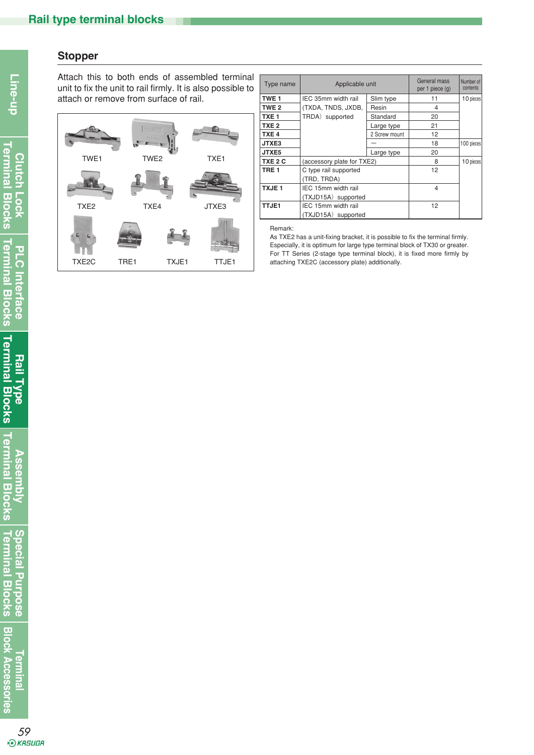#### **Stopper**

**Clutch Lock Terminal Blocks**

Attach this to both ends of assembled terminal unit to fix the unit to rail firmly. It is also possible to attach or remove from surface of rail.



| Type name        | Applicable unit            | General mass<br>per 1 piece (g) | Number of<br>contents |            |
|------------------|----------------------------|---------------------------------|-----------------------|------------|
| TWE <sub>1</sub> | IEC 35mm width rail        | Slim type                       | 11                    | 10 pieces  |
| TWE <sub>2</sub> | (TXDA, TNDS, JXDB,         | Resin                           | 4                     |            |
| TXE <sub>1</sub> | TRDA) supported            | Standard                        | 20                    |            |
| TXE <sub>2</sub> |                            | Large type                      | 21                    |            |
| TXE <sub>4</sub> |                            | 2 Screw mount                   | 12                    |            |
| JTXE3            |                            |                                 | 18                    | 100 pieces |
| JTXE5            |                            | Large type                      | 20                    |            |
| TXE 2 C          | (accessory plate for TXE2) |                                 | 8                     | 10 pieces  |
| TRE <sub>1</sub> | C type rail supported      |                                 | 12                    |            |
|                  | (TRD, TRDA)                |                                 |                       |            |
| <b>TXJE1</b>     | IEC 15mm width rail        |                                 | 4                     |            |
|                  | (TXJD15A) supported        |                                 |                       |            |
| TTJE1            | IEC 15mm width rail        | 12                              |                       |            |
|                  | (TXJD15A) supported        |                                 |                       |            |

Remark:

As TXE2 has a unit-fixing bracket, it is possible to fix the terminal firmly. Especially, it is optimum for large type terminal block of TX30 or greater. For TT Series (2-stage type terminal block), it is fixed more firmly by attaching TXE2C (accessory plate) additionally.

**Terminal**

**Block Accessories**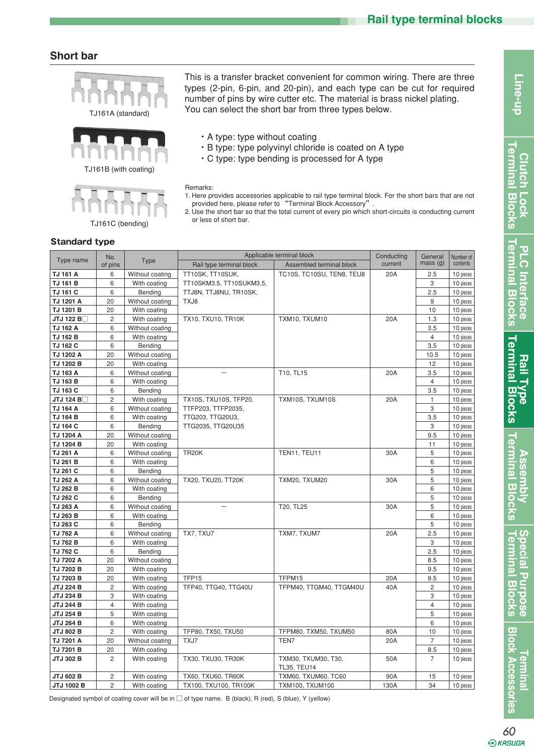#### **Short bar**







This is a transfer bracket convenient for common wiring. There are three types (2-pin, 6-pin, and 20-pin), and each type can be cut for required number of pins by wire cutter etc. The material is brass nickel plating. You can select the short bar from three types below.

- ・A type: type without coating
- ・B type: type polyvinyl chloride is coated on A type
- ・C type: type bending is processed for A type

Remarks:

- 1. Here provides accessories applicable to rail type terminal block. For the short bars that are not provided here, please refer to "Terminal Block Accessory".
- 2. Use the short bar so that the total current of every pin which short-circuits is conducting current or less of short bar.

|                     | No.            |                 |                          | Applicable terminal block                 | Conducting | General        | Number of |
|---------------------|----------------|-----------------|--------------------------|-------------------------------------------|------------|----------------|-----------|
| Type name           | of pins        | <b>Type</b>     | Rail type terminal block | Assembled terminal block                  | current    | mass(g)        | contents  |
| TJ 161 A            | 6              | Without coating | TT10SK, TT10SUK,         | TC10S, TC10SU, TEN8, TEU8                 | 20A        | 2.5            | 10 pieces |
| TJ 161 B            | 6              | With coating    | TT10SKM3.5, TT10SUKM3.5, |                                           |            | 3              | 10 pieces |
| TJ 161 C            | 6              | Bending         | TTJ8N, TTJ8NU, TR10SK,   |                                           |            | 2.5            | 10 pieces |
| TJ 1201 A           | 20             | Without coating | TXJ8                     |                                           |            | 9              | 10 pieces |
| TJ 1201 B           | 20             | With coating    |                          |                                           |            | 10             | 10 pieces |
| JTJ 122 B $\square$ | $\overline{c}$ | With coating    | TX10, TXU10, TR10K       | TXM10, TXUM10                             | 20A        | 1.3            | 10 pieces |
| TJ 162 A            | 6              | Without coating |                          |                                           |            | 3.5            | 10 pieces |
| TJ 162 B            | 6              | With coating    |                          |                                           |            | $\overline{4}$ | 10 pieces |
| TJ 162 C            | 6              | Bending         |                          |                                           |            | 3.5            | 10 pieces |
| TJ 1202 A           | 20             | Without coating |                          |                                           |            | 10.5           | 10 pieces |
| TJ 1202 B           | 20             | With coating    |                          |                                           |            | 12             | 10 pieces |
| TJ 163 A            | 6              | Without coating |                          | T10, TL15                                 | 20A        | 3.5            | 10 pieces |
| TJ 163 B            | 6              | With coating    |                          |                                           |            | $\overline{4}$ | 10 pieces |
| TJ 163 C            | 6              | Bending         |                          |                                           |            | 3.5            | 10 pieces |
| JTJ 124 B           | $\overline{c}$ | With coating    | TX10S, TXU10S, TFP20,    | TXM10S, TXUM10S                           | 20A        | $\mathbf{1}$   | 10 pieces |
| TJ 164 A            | 6              | Without coating | TTFP203, TTFP2035,       |                                           |            | 3              | 10 pieces |
| <b>TJ 164 B</b>     | 6              | With coating    | TTG203, TTG20U3,         |                                           |            | 3.5            | 10 pieces |
| TJ 164 C            | 6              | Bending         | TTG2035, TTG20U35        |                                           |            | 3              | 10 pieces |
| TJ 1204 A           | 20             | Without coating |                          |                                           |            | 9.5            | 10 pieces |
| TJ 1204 B           | 20             | With coating    |                          |                                           |            | 11             | 10 pieces |
| TJ 261 A            | 6              | Without coating | <b>TR20K</b>             | TEN11, TEU11                              | 30A        | 5              | 10 pieces |
| TJ 261 B            | 6              | With coating    |                          |                                           |            | 6              | 10 pieces |
| TJ 261 C            | 6              | Bending         |                          |                                           |            | 5              | 10 pieces |
| TJ 262 A            | 6              | Without coating | TX20, TXU20, TT20K       | TXM20, TXUM20                             | 30A        | 5              | 10 pieces |
| TJ 262 B            | 6              | With coating    |                          |                                           |            | 6              | 10 pieces |
| TJ 262 C            | 6              | Bending         |                          |                                           |            | 5              | 10 pieces |
| TJ 263 A            | 6              | Without coating |                          | T20, TL25                                 | 30A        | 5              | 10 pieces |
| TJ 263 B            | 6              | With coating    |                          |                                           |            | 6              | 10 pieces |
| TJ 263 C            | 6              | Bending         |                          |                                           |            | 5              | 10 pieces |
| TJ 762 A            | 6              | Without coating | TX7, TXU7                | TXM7, TXUM7                               | 20A        | 2.5            | 10 pieces |
| <b>TJ 762 B</b>     | 6              | With coating    |                          |                                           |            | 3              | 10 pieces |
| TJ 762 C            | 6              | Bending         |                          |                                           |            | 2.5            | 10 pieces |
| TJ 7202 A           | 20             | Without coating |                          |                                           |            | 8.5            | 10 pieces |
| TJ 7202 B           | 20             | With coating    |                          |                                           |            | 9.5            | 10 pieces |
| TJ 7203 B           | 20             | With coating    | TFP15                    | TFPM15                                    | 20A        | 9.5            | 10 pieces |
| <b>JTJ 224 B</b>    | $\overline{c}$ | With coating    | TFP40, TTG40, TTG40U     | TFPM40, TTGM40, TTGM40U                   | 40A        | $\overline{c}$ | 10 pieces |
| <b>JTJ 234 B</b>    | 3              | With coating    |                          |                                           |            | 3              | 10 pieces |
| <b>JTJ 244 B</b>    | $\overline{4}$ | With coating    |                          |                                           |            | $\overline{4}$ | 10 pieces |
| <b>JTJ 254 B</b>    | 5              | With coating    |                          |                                           |            | 5              | 10 pieces |
| <b>JTJ 264 B</b>    | 6              | With coating    |                          |                                           |            | 6              | 10 pieces |
| <b>JTJ 802 B</b>    | $\overline{c}$ | With coating    | TFP80, TX50, TXU50       | TFPM80, TXM50, TXUM50                     | 80A        | 10             | 10 pieces |
| TJ 7201 A           | 20             | Without coating | TXJ7                     | TEN7                                      | 20A        | $\overline{7}$ | 10 pieces |
| TJ 7201 B           | 20             | With coating    |                          |                                           |            | 8.5            | 10 pieces |
| <b>JTJ 302 B</b>    | $\overline{c}$ | With coating    | TX30, TXU30, TR30K       | TXM30, TXUM30, T30,<br><b>TL35. TEU14</b> | 50A        | $\overline{7}$ | 10 pieces |
| <b>JTJ 602 B</b>    | $\mathbf{2}$   | With coating    | TX60, TXU60, TR60K       | TXM60, TXUM60, TC60                       | 90A        | 15             | 10 pieces |
| <b>JTJ 1002 B</b>   | $\mathbf{2}$   | With coating    | TX100, TXU100, TR100K    | <b>TXM100, TXUM100</b>                    | 130A       | 34             | 10 pieces |
|                     |                |                 |                          |                                           |            |                |           |

#### **Standard type**

Designated symbol of coating cover will be in □ of type name. B (black), R (red), S (blue), Y (yellow)

**Clutch Lock Terminal Blocks**

erminal Bl **Clutch Lock** 

 $\overline{5}$  $\ddot{\delta}$ 

ermina

Line-up

 $\overline{5}$  $\overline{\hat{\bm{a}}}$ 

**200**